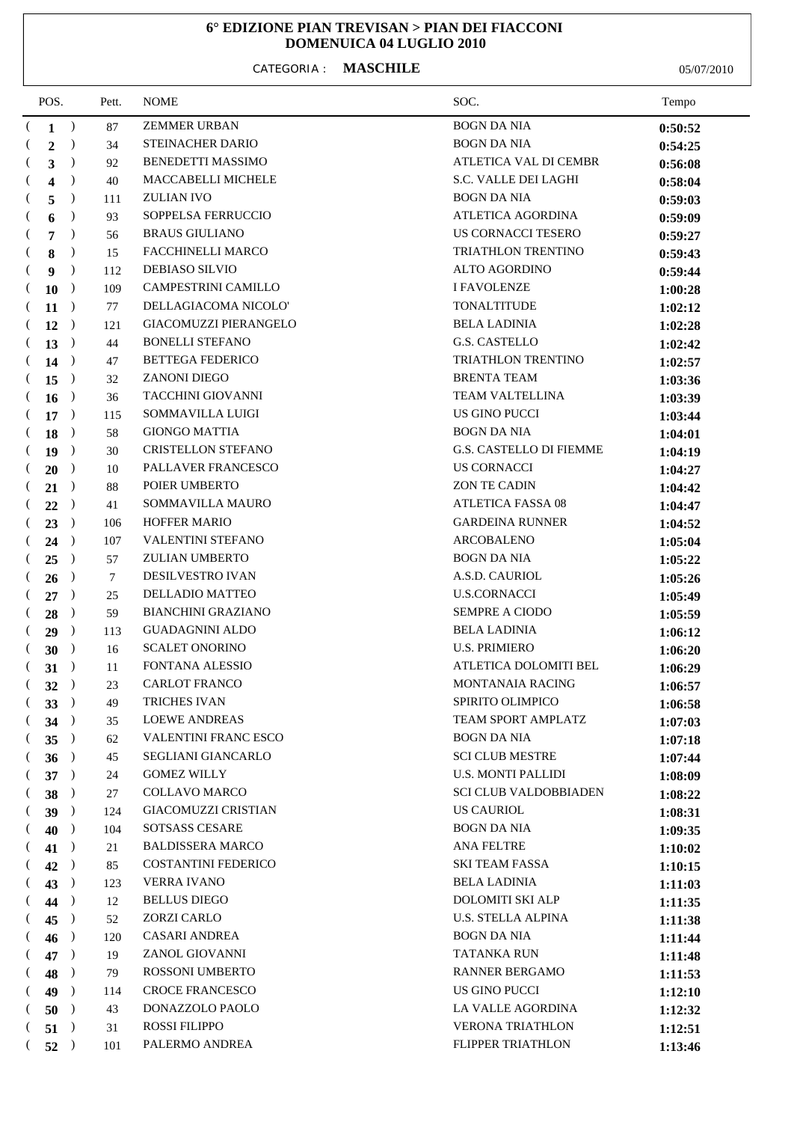## **6° EDIZIONE PIAN TREVISAN > PIAN DEI FIACCONI DOMENUICA 04 LUGLIO 2010**

## CATEGORIA : **MASCHILE** 05/07/2010

| POS.           |                | Pett.         | <b>NOME</b> | SOC.                        | Tempo                          |         |
|----------------|----------------|---------------|-------------|-----------------------------|--------------------------------|---------|
| €              | $\mathbf{1}$   | $\rightarrow$ | 87          | <b>ZEMMER URBAN</b>         | <b>BOGN DA NIA</b>             | 0:50:52 |
|                | $\overline{2}$ | $\rightarrow$ | 34          | <b>STEINACHER DARIO</b>     | <b>BOGN DA NIA</b>             | 0:54:25 |
| $\left($       | 3              | $\rightarrow$ | 92          | <b>BENEDETTI MASSIMO</b>    | <b>ATLETICA VAL DI CEMBR</b>   | 0:56:08 |
| $\left($       | 4              | $\lambda$     | 40          | MACCABELLI MICHELE          | S.C. VALLE DEI LAGHI           | 0:58:04 |
| $\left($       | 5              | $\lambda$     | 111         | <b>ZULIAN IVO</b>           | <b>BOGN DA NIA</b>             | 0:59:03 |
|                | 6              | $\lambda$     | 93          | SOPPELSA FERRUCCIO          | ATLETICA AGORDINA              | 0:59:09 |
| $\left($       | $\overline{7}$ | $\rightarrow$ | 56          | <b>BRAUS GIULIANO</b>       | US CORNACCI TESERO             | 0:59:27 |
| $\left($       | 8              | $\lambda$     | 15          | FACCHINELLI MARCO           | TRIATHLON TRENTINO             | 0:59:43 |
| $\left($       | 9              | $\lambda$     | 112         | <b>DEBIASO SILVIO</b>       | <b>ALTO AGORDINO</b>           | 0:59:44 |
|                | <b>10</b>      | $\rightarrow$ | 109         | CAMPESTRINI CAMILLO         | <b>I FAVOLENZE</b>             | 1:00:28 |
| $\left($       | 11             | $\rightarrow$ | 77          | DELLAGIACOMA NICOLO'        | <b>TONALTITUDE</b>             | 1:02:12 |
| $\left($       | $12$ )         |               | 121         | GIACOMUZZI PIERANGELO       | <b>BELA LADINIA</b>            | 1:02:28 |
| $\left($       | 13             |               | 44          | <b>BONELLI STEFANO</b>      | <b>G.S. CASTELLO</b>           | 1:02:42 |
| $\left($       | 14             |               | 47          | <b>BETTEGA FEDERICO</b>     | TRIATHLON TRENTINO             | 1:02:57 |
|                | (15            | $\rightarrow$ | 32          | <b>ZANONI DIEGO</b>         | <b>BRENTA TEAM</b>             | 1:03:36 |
| $\left($       | $16$ )         |               | 36          | TACCHINI GIOVANNI           | <b>TEAM VALTELLINA</b>         | 1:03:39 |
|                | $17$ )         |               | 115         | SOMMAVILLA LUIGI            | <b>US GINO PUCCI</b>           | 1:03:44 |
|                | 18             | $\rightarrow$ | 58          | <b>GIONGO MATTIA</b>        | <b>BOGN DA NIA</b>             | 1:04:01 |
| $\left($       | <b>19</b>      | $\rightarrow$ | 30          | <b>CRISTELLON STEFANO</b>   | <b>G.S. CASTELLO DI FIEMME</b> | 1:04:19 |
|                | 20             | $\rightarrow$ | 10          | PALLAVER FRANCESCO          | <b>US CORNACCI</b>             | 1:04:27 |
|                | 21             | $\rightarrow$ | 88          | POIER UMBERTO               | <b>ZON TE CADIN</b>            | 1:04:42 |
|                | 22             | $\rightarrow$ | 41          | SOMMAVILLA MAURO            | <b>ATLETICA FASSA 08</b>       | 1:04:47 |
| $\left($       | 23             | $\rightarrow$ | 106         | HOFFER MARIO                | <b>GARDEINA RUNNER</b>         | 1:04:52 |
|                | 24             |               | 107         | VALENTINI STEFANO           | <b>ARCOBALENO</b>              | 1:05:04 |
|                | 25             | $\rightarrow$ | 57          | <b>ZULIAN UMBERTO</b>       | <b>BOGN DA NIA</b>             | 1:05:22 |
|                | 26             | $\rightarrow$ | 7           | DESILVESTRO IVAN            | A.S.D. CAURIOL                 | 1:05:26 |
| $\left($       | 27             | $\rightarrow$ | 25          | DELLADIO MATTEO             | <b>U.S.CORNACCI</b>            | 1:05:49 |
| $\left($       | 28             | $\rightarrow$ | 59          | <b>BIANCHINI GRAZIANO</b>   | <b>SEMPRE A CIODO</b>          | 1:05:59 |
| $\overline{ }$ | 29             | $\rightarrow$ | 113         | <b>GUADAGNINI ALDO</b>      | <b>BELA LADINIA</b>            | 1:06:12 |
| $\left($       | 30             | $\rightarrow$ | 16          | <b>SCALET ONORINO</b>       | <b>U.S. PRIMIERO</b>           | 1:06:20 |
|                | (31)           | $\rightarrow$ | 11          | FONTANA ALESSIO             | ATLETICA DOLOMITI BEL          | 1:06:29 |
| $\left($       | 32)            |               | 23          | <b>CARLOT FRANCO</b>        | <b>MONTANAIA RACING</b>        | 1:06:57 |
|                | (33)           |               | 49          | <b>TRICHES IVAN</b>         | SPIRITO OLIMPICO               | 1:06:58 |
| $\left($       | 34             |               | 35          | <b>LOEWE ANDREAS</b>        | TEAM SPORT AMPLATZ             | 1:07:03 |
| $\left($       | 35             | $\rightarrow$ | 62          | <b>VALENTINI FRANC ESCO</b> | <b>BOGN DA NIA</b>             | 1:07:18 |
| $\left($       | 36)            |               | 45          | SEGLIANI GIANCARLO          | <b>SCI CLUB MESTRE</b>         | 1:07:44 |
| $\left($       | $37$ )         |               | 24          | <b>GOMEZ WILLY</b>          | <b>U.S. MONTI PALLIDI</b>      | 1:08:09 |
|                | 38             | $\rightarrow$ | 27          | <b>COLLAVO MARCO</b>        | <b>SCI CLUB VALDOBBIADEN</b>   | 1:08:22 |
| $\left($       | 39             | $\rightarrow$ | 124         | <b>GIACOMUZZI CRISTIAN</b>  | <b>US CAURIOL</b>              | 1:08:31 |
|                | 40             | $\rightarrow$ | 104         | SOTSASS CESARE              | <b>BOGN DA NIA</b>             | 1:09:35 |
|                | 41             |               | 21          | <b>BALDISSERA MARCO</b>     | <b>ANA FELTRE</b>              | 1:10:02 |
|                | 42             |               | 85          | <b>COSTANTINI FEDERICO</b>  | <b>SKI TEAM FASSA</b>          | 1:10:15 |
|                | 43             | $\rightarrow$ | 123         | <b>VERRA IVANO</b>          | <b>BELA LADINIA</b>            | 1:11:03 |
|                | 44             |               | 12          | <b>BELLUS DIEGO</b>         | DOLOMITI SKI ALP               | 1:11:35 |
|                | 45             | $\rightarrow$ | 52          | ZORZI CARLO                 | U.S. STELLA ALPINA             | 1:11:38 |
|                | 46             | $\rightarrow$ | 120         | <b>CASARI ANDREA</b>        | <b>BOGN DA NIA</b>             | 1:11:44 |
|                | 47             | $\rightarrow$ | 19          | ZANOL GIOVANNI              | <b>TATANKA RUN</b>             | 1:11:48 |
|                | 48             | $\rightarrow$ | 79          | ROSSONI UMBERTO             | RANNER BERGAMO                 | 1:11:53 |
|                | 49             | $\rightarrow$ | 114         | <b>CROCE FRANCESCO</b>      | US GINO PUCCI                  | 1:12:10 |
| $\left($       | 50             |               | 43          | DONAZZOLO PAOLO             | LA VALLE AGORDINA              | 1:12:32 |
| $\mathcal{L}$  | 51             |               | 31          | <b>ROSSI FILIPPO</b>        | VERONA TRIATHLON               | 1:12:51 |
| $\left($       | 52             |               | 101         | PALERMO ANDREA              | FLIPPER TRIATHLON              | 1:13:46 |
|                |                |               |             |                             |                                |         |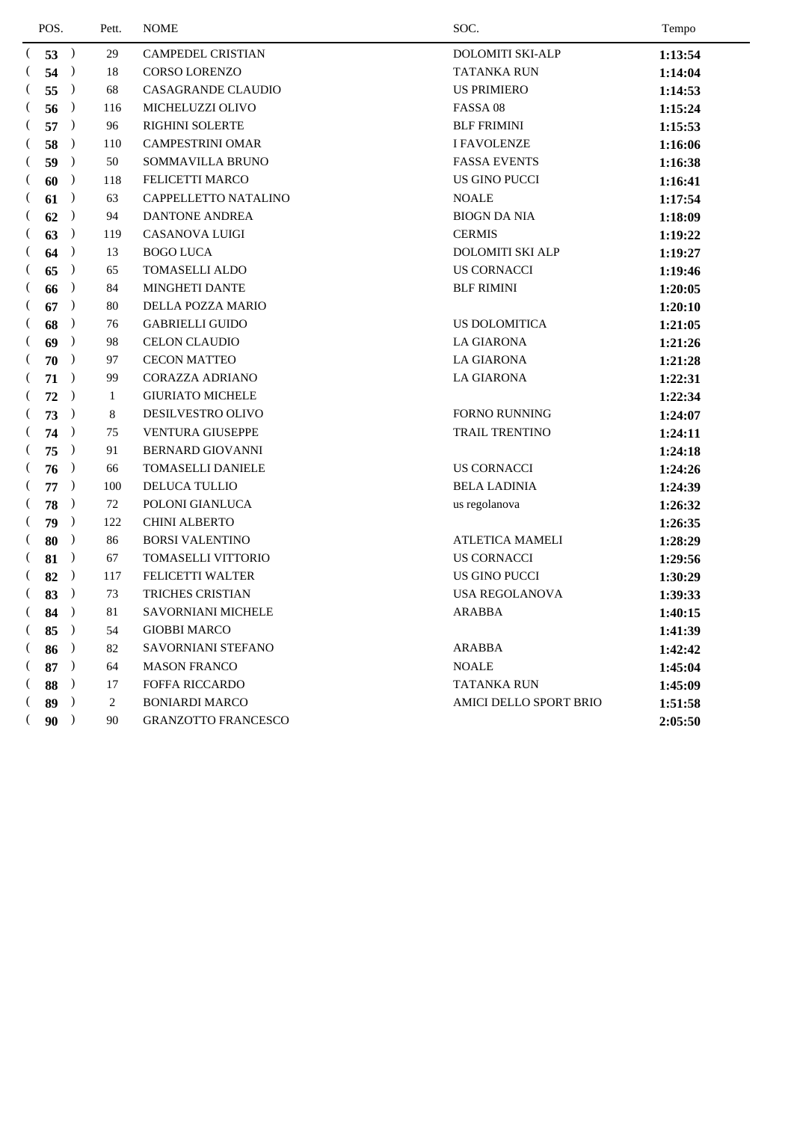| POS.           |               | Pett. | <b>NOME</b>                | SOC.                          | Tempo   |
|----------------|---------------|-------|----------------------------|-------------------------------|---------|
| (53)           |               | 29    | <b>CAMPEDEL CRISTIAN</b>   | <b>DOLOMITI SKI-ALP</b>       | 1:13:54 |
| €              | 54            | 18    | <b>CORSO LORENZO</b>       | <b>TATANKA RUN</b>            | 1:14:04 |
| 55             | $\rightarrow$ | 68    | <b>CASAGRANDE CLAUDIO</b>  | <b>US PRIMIERO</b>            | 1:14:53 |
| 56             | $\rightarrow$ | 116   | MICHELUZZI OLIVO           | FASSA 08                      | 1:15:24 |
| 57<br>$\left($ | $\rightarrow$ | 96    | <b>RIGHINI SOLERTE</b>     | <b>BLF FRIMINI</b>            | 1:15:53 |
| 58             | $\rightarrow$ | 110   | <b>CAMPESTRINI OMAR</b>    | <b>I FAVOLENZE</b>            | 1:16:06 |
| 59             | $\rightarrow$ | 50    | SOMMAVILLA BRUNO           | <b>FASSA EVENTS</b>           | 1:16:38 |
| 60             | $\rightarrow$ | 118   | FELICETTI MARCO            | US GINO PUCCI                 | 1:16:41 |
| $\left($<br>61 | $\rightarrow$ | 63    | CAPPELLETTO NATALINO       | <b>NOALE</b>                  | 1:17:54 |
| 62             | $\rightarrow$ | 94    | <b>DANTONE ANDREA</b>      | <b>BIOGN DA NIA</b>           | 1:18:09 |
| 63             | $\rightarrow$ | 119   | <b>CASANOVA LUIGI</b>      | <b>CERMIS</b>                 | 1:19:22 |
| 64             | $\rightarrow$ | 13    | <b>BOGO LUCA</b>           | <b>DOLOMITI SKI ALP</b>       | 1:19:27 |
| 65<br>$\left($ | $\rightarrow$ | 65    | <b>TOMASELLI ALDO</b>      | <b>US CORNACCI</b>            | 1:19:46 |
| 66             | $\rightarrow$ | 84    | MINGHETI DANTE             | <b>BLF RIMINI</b>             | 1:20:05 |
| 67             | $\rightarrow$ | 80    | DELLA POZZA MARIO          |                               | 1:20:10 |
| 68             | $\rightarrow$ | 76    | <b>GABRIELLI GUIDO</b>     | <b>US DOLOMITICA</b>          | 1:21:05 |
| 69             | $\rightarrow$ | 98    | <b>CELON CLAUDIO</b>       | <b>LA GIARONA</b>             | 1:21:26 |
| 70             | $\rightarrow$ | 97    | <b>CECON MATTEO</b>        | <b>LA GIARONA</b>             | 1:21:28 |
| 71             | $\rightarrow$ | 99    | <b>CORAZZA ADRIANO</b>     | <b>LA GIARONA</b>             | 1:22:31 |
| 72             | $\rightarrow$ | 1     | <b>GIURIATO MICHELE</b>    |                               | 1:22:34 |
| 73<br>$\left($ | $\rightarrow$ | 8     | DESILVESTRO OLIVO          | <b>FORNO RUNNING</b>          | 1:24:07 |
| 74             | $\rightarrow$ | 75    | <b>VENTURA GIUSEPPE</b>    | TRAIL TRENTINO                | 1:24:11 |
| 75             | $\rightarrow$ | 91    | <b>BERNARD GIOVANNI</b>    |                               | 1:24:18 |
| 76             | $\rightarrow$ | 66    | <b>TOMASELLI DANIELE</b>   | <b>US CORNACCI</b>            | 1:24:26 |
| 77             | $\rightarrow$ | 100   | <b>DELUCA TULLIO</b>       | <b>BELA LADINIA</b>           | 1:24:39 |
| 78             | $\rightarrow$ | 72    | POLONI GIANLUCA            | us regolanova                 | 1:26:32 |
| 79             | $\rightarrow$ | 122   | <b>CHINI ALBERTO</b>       |                               | 1:26:35 |
| 80             | $\rightarrow$ | 86    | <b>BORSI VALENTINO</b>     | <b>ATLETICA MAMELI</b>        | 1:28:29 |
| 81             | $\rightarrow$ | 67    | <b>TOMASELLI VITTORIO</b>  | <b>US CORNACCI</b>            | 1:29:56 |
| 82             | $\rightarrow$ | 117   | FELICETTI WALTER           | US GINO PUCCI                 | 1:30:29 |
| 83             | $\rightarrow$ | 73    | TRICHES CRISTIAN           | <b>USA REGOLANOVA</b>         | 1:39:33 |
| 84             | $\rightarrow$ | 81    | <b>SAVORNIANI MICHELE</b>  | <b>ARABBA</b>                 | 1:40:15 |
| (85            | $\rightarrow$ | 54    | <b>GIOBBI MARCO</b>        |                               | 1:41:39 |
| (86            |               | 82    | SAVORNIANI STEFANO         | <b>ARABBA</b>                 | 1:42:42 |
| 87<br>$\left($ | $\rightarrow$ | 64    | <b>MASON FRANCO</b>        | <b>NOALE</b>                  | 1:45:04 |
| 88<br>$\left($ | $\rightarrow$ | 17    | FOFFA RICCARDO             | TATANKA RUN                   | 1:45:09 |
| $($ 89         | $\rightarrow$ | 2     | <b>BONIARDI MARCO</b>      | <b>AMICI DELLO SPORT BRIO</b> | 1:51:58 |
| €<br>90        |               | 90    | <b>GRANZOTTO FRANCESCO</b> |                               | 2:05:50 |